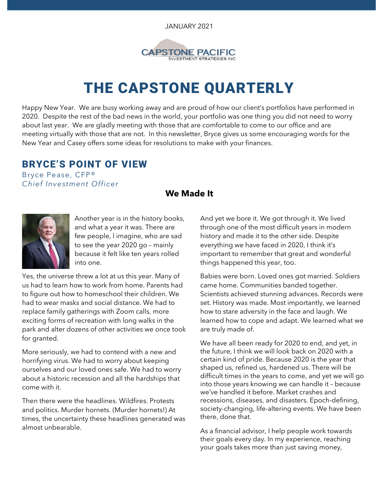JANUARY 2021



# THE CAPSTONE QUARTERLY

Happy New Year. We are busy working away and are proud of how our client's portfolios have performed in 2020. Despite the rest of the bad news in the world, your portfolio was one thing you did not need to worry about last year. We are gladly meeting with those that are comfortable to come to our office and are meeting virtually with those that are not. In this newsletter, Bryce gives us some encouraging words for the New Year and Casey offers some ideas for resolutions to make with your finances.

## BRYCE'S POINT OF VIEW

Bryce Pease, CFP® *Chief Investment Officer*

#### **We Made It**



Another year is in the history books, and what a year it was. There are few people, I imagine, who are sad to see the year 2020 go – mainly because it felt like ten years rolled into one.

Yes, the universe threw a lot at us this year. Many of us had to learn how to work from home. Parents had to figure out how to homeschool their children. We had to wear masks and social distance. We had to replace family gatherings with Zoom calls, more exciting forms of recreation with long walks in the park and alter dozens of other activities we once took for granted.

More seriously, we had to contend with a new and horrifying virus. We had to worry about keeping ourselves and our loved ones safe. We had to worry about a historic recession and all the hardships that come with it.

Then there were the headlines. Wildfires. Protests and politics. Murder hornets. (Murder hornets!) At times, the uncertainty these headlines generated was almost unbearable.

And yet we bore it. We got through it. We lived through one of the most difficult years in modern history and made it to the other side. Despite everything we have faced in 2020, I think it's important to remember that great and wonderful things happened this year, too.

Babies were born. Loved ones got married. Soldiers came home. Communities banded together. Scientists achieved stunning advances. Records were set. History was made. Most importantly, we learned how to stare adversity in the face and laugh. We learned how to cope and adapt. We learned what we are truly made of.

We have all been ready for 2020 to end, and yet, in the future, I think we will look back on 2020 with a certain kind of pride. Because 2020 is the year that shaped us, refined us, hardened us. There will be difficult times in the years to come, and yet we will go into those years knowing we can handle it – because we've handled it before. Market crashes and recessions, diseases, and disasters. Epoch-defining, society-changing, life-altering events. We have been there, done that.

As a financial advisor, I help people work towards their goals every day. In my experience, reaching your goals takes more than just saving money,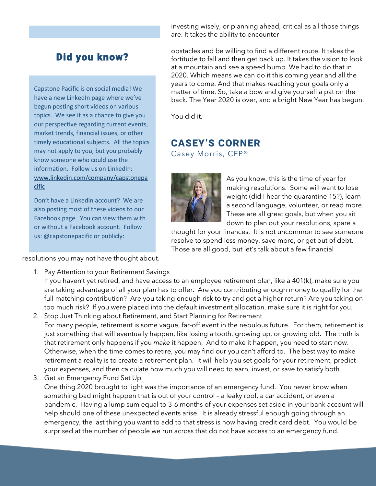## Did you know?

Capstone Pacific is on social media! We have a new LinkedIn page where we've begun posting short videos on various topics. We see it as a chance to give you our perspective regarding current events, market trends, financial issues, or other timely educational subjects. All the topics may not apply to you, but you probably know someone who could use the information. Follow us on LinkedIn: [www.linkedin.com/company/capstonepa](http://www.linkedin.com/company/capstonepacific) [cific](http://www.linkedin.com/company/capstonepacific)

Don't have a LinkedIn account? We are also posting most of these videos to our Facebook page. You can view them with or without a Facebook account. Follow us: @capstonepacific or publicly:

resolutions you may not have thought about.

1. Pay Attention to your Retirement Savings

investing wisely, or planning ahead, critical as all those things are. It takes the ability to encounter

obstacles and be willing to find a different route. It takes the fortitude to fall and then get back up. It takes the vision to look at a mountain and see a speed bump. We had to do that in 2020. Which means we can do it this coming year and all the years to come. And that makes reaching your goals only a matter of time. So, take a bow and give yourself a pat on the back. The Year 2020 is over, and a bright New Year has begun.

You did it.

#### CASEY'S CORNER Casey Morris, CFP®



As you know, this is the time of year for making resolutions. Some will want to lose weight (did I hear the quarantine 15?), learn a second language, volunteer, or read more. These are all great goals, but when you sit down to plan out your resolutions, spare a

thought for your finances. It is not uncommon to see someone resolve to spend less money, save more, or get out of debt. Those are all good, but let's talk about a few financial

- If you haven't yet retired, and have access to an employee retirement plan, like a 401(k), make sure you are taking advantage of all your plan has to offer. Are you contributing enough money to qualify for the full matching contribution? Are you taking enough risk to try and get a higher return? Are you taking on too much risk? If you were placed into the default investment allocation, make sure it is right for you.
- 2. Stop Just Thinking about Retirement, and Start Planning for Retirement For many people, retirement is some vague, far-off event in the nebulous future. For them, retirement is just something that will eventually happen, like losing a tooth, growing up, or growing old. The truth is that retirement only happens if you *make* it happen. And to make it happen, you need to start now. Otherwise, when the time comes to retire, you may find our you can't afford to. The best way to make retirement a reality is to create a retirement plan. It will help you set goals for your retirement, predict your expenses, and then calculate how much you will need to earn, invest, or save to satisfy both.
- 3. Get an Emergency Fund Set Up

One thing 2020 brought to light was the importance of an emergency fund. You never know when something bad might happen that is out of your control – a leaky roof, a car accident, or even a pandemic. Having a lump sum equal to 3-6 months of your expenses set aside in your bank account will help should one of these unexpected events arise. It is already stressful enough going through an emergency, the last thing you want to add to that stress is now having credit card debt. You would be surprised at the number of people we run across that do not have access to an emergency fund.